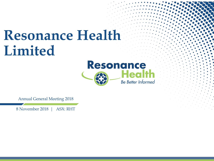# **Resonance Health Limited**



Annual General Meeting 2018

8 November 2018 | ASX: RHT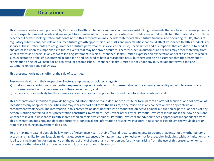#### **Disclaimer**

This presentation has been prepared by Resonance Health Limited only and may contain forward-looking statements that are based on management's current expectations and beliefs and are subject to a number of factors and uncertainties that could cause actual results to differ materially from those described. Forward looking statements contained in this presentation may include statements about future financial and operating results, status of regulatory submissions, possible or assumed future growth opportunities and risks and uncertainties that could affect Resonance Health's products and services. These statements are not guarantees of future performance, involve certain risks, uncertainties and assumptions that are difficult to predict, and are based upon assumptions as to future events that may not prove accurate. Therefore, actual outcomes and results may differ materially from what is expressed herein. In any forward looking statement in which Resonance Health Limited expresses an expectation or belief as to future results, such expectation or belief is expressed in good faith and believed to have a reasonable basis, but there can be no assurance that the statement or expectation or belief will result or be achieved or accomplished. Resonance Health Limited is not under any duty to update forward-looking statements unless required by law.

This presentation is not an offer of the sale of securities.

Resonance Health and their respective directors, employees, associates or agents:

- a) make no representations or warranties, express or implied, in relation to this presentation or the accuracy, reliability or completeness of any information in it or the performance of Resonance Health; and
- b) accepts no responsibility for the accuracy or completeness of this presentation and the information contained in it.

This presentation is intended to provide background information only and does not constitute or form part of an offer of securities or a solicitation of invitation to buy or apply for securities, not may it or any part of it form the basis of, or be relied on in any connection with any contract or commitment whatsoever. The information in this presentation does not take into account the objectives, financial situation or particular needs of any person. Nothing contained in this presentation constitutes investment, legal, tax or other advice. Potential investors should make their own decisions whether to invest in Resonance Health shares based on their own enquiries. Potential investors are advised to seek appropriate independent advice. This presentation does not, and does not purport to, contain all the information prospective investors in Resonance Health Limited would desire or require in reaching an investment decision.

To the maximum extend possible by law, none of Resonance Health, their offices, directors, employees, associates or agents, not any other persons accepts any liability for any loss, claim, damages, costs or expenses of whatever nature (whether or not foreseeable), including, without limitation, any liability arising from fault or negligence on the part of any of them or any other person, for any loss arising from the use of this presentation or its contents of otherwise arising in connection with it or any error or omissions on it.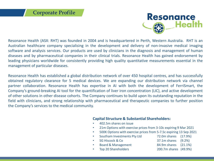

Resonance Health (ASX: RHT) was founded in 2004 and is headquartered in Perth, Western Australia. RHT is an Australian healthcare company specialising in the development and delivery of non-invasive medical imaging software and analysis services. Our products are used by clinicians in the diagnosis and management of human diseases and by pharmaceutical companies in their clinical trials. Resonance Health has gained endorsement by leading physicians worldwide for consistently providing high quality quantitative measurements essential in the management of particular diseases.

Resonance Health has established a global distribution network of over 450 hospital centres, and has successfully obtained regulatory clearance for 5 medical devices. We are expanding our distribution network via channel partner collaboration. Resonance Health has expertise in AI with both the development of FerriSmart, the Company's ground-breaking AI tool for the quantification of liver iron concentration (LIC), and active development of other solutions in other disease cohorts. The Company continues to build upon its outstanding reputation in the field with clinicians, and strong relationship with pharmaceutical and therapeutic companies to further position the Company's services to the medical community.

#### **Capital Structure & Substantial Shareholders:**

- 402.5m shares on issue
- 21m Options with exercise prices from 3-10c expiring 9 Mar 2021
- 500K Options with exercise prices from 5-7.5c expiring 13 Sep 2021
- Southam Investments Pty Ltd 72.0m shares (17.9%)
- SG Hiscock & Co 37.1m shares (9.2%)
- Board & Management 84.9m shares (21.1%)
- -
- Top 20 Shareholders 200.7m shares (49.9%)
-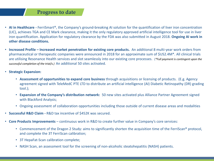#### **Progress to date**

- **AI in Healthcare -** FerriSmart®, the Company's ground-breaking AI solution for the quantification of liver iron concentration (LIC), achieves TGA and CE Mark clearance, making it the only regulatory approved artificial intelligence tool for use in liver iron quantification. Application for regulatory clearance by the FDA was also submitted in August 2018. **Ongoing AI work in other disease conditions.**
- **Increased Profile – Increased market penetration for existing core products.** An additional 8 multi-year work orders from pharmaceutical or therapeutic companies were announced in 2018 for an approximate sum of \$US2.4M\*. All clinical trials are utilising Resonance Health services and slot seamlessly into our existing core processes. (*\*Full payment is contingent upon the successful completion of the trial/s.)* An additional 50 sites activated.
- **Strategic Expansion:**
	- **Assessment of opportunities to expand core business** through acquisitions or licensing of products. (E.g. Agency agreement signed with TeleMedC PTE LTD to distribute an artificial intelligence (AI) Diabetic Retinopathy (DR) grading tool.);
	- **Expansion of the Company's distribution network:** 50 new sites activated plus Alliance Partner Agreement signed with Blackford Analysis;
	- Ongoing assessment of collaboration opportunities including those outside of current disease areas and modalities
- **Successful R&D Claim -** R&D tax incentive of \$452K was secured.
- **Core Products Improvements** continuous work in R&D to create further value in Company's core services:
	- Commencement of the Dragon 2 Study: aims to significantly shorten the acquisition time of the FerriScan® protocol, and complete the 3T FerriScan calibration;
	- 3T HepaFat-Scan calibration complete;
	- NASH Scan, an assessment tool for the screening of non-alcoholic steatohepatitis (NASH) patients.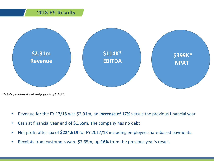#### **2018 FY Results**



*<sup>\*</sup> Excluding employee share-based payments of \$174,914.*

- Revenue for the FY 17/18 was \$2.91m, an **increase of 17%** versus the previous financial year
- Cash at financial year end of **\$1.55m**. The company has no debt
- Net profit after tax of **\$224,619** for FY 2017/18 including employee share-based payments.
- Receipts from customers were \$2.65m, up **16%** from the previous year's result.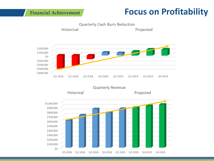## **Financial Achievement Focus on Profitability**

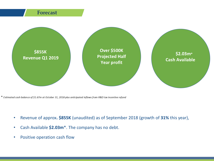

\* Estimated cash balance of \$1.67m at October 31, 2018 plus anticipated inflows from R&D tax incentive refund

- Revenue of approx**. \$855K** (unaudited) as of September 2018 (growth of **31%** this year),
- Cash Available **\$2.03m**\*. The company has no debt.
- Positive operation cash flow